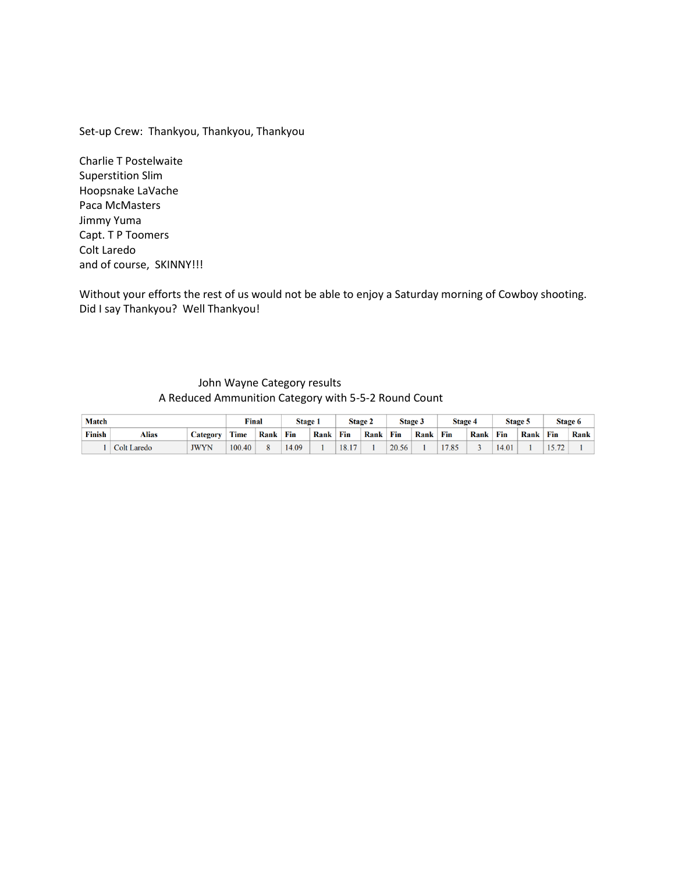Set-up Crew: Thankyou, Thankyou, Thankyou

Charlie T Postelwaite Superstition Slim Hoopsnake LaVache Paca McMasters Jimmy Yuma Capt. T P Toomers Colt Laredo and of course, SKINNY!!!

Without your efforts the rest of us would not be able to enjoy a Saturday morning of Cowboy shooting. Did I say Thankyou? Well Thankyou!

#### John Wayne Category results A Reduced Ammunition Category with 5-5-2 Round Count

| <b>Match</b>  |             |             | Final  |      | <b>Stage 1</b> |      |       | <b>Stage 2</b> |       | <b>Stage 3</b> | <b>Stage 4</b> |      |       | <b>Stage 5</b> |              | <b>Stage 6</b> |
|---------------|-------------|-------------|--------|------|----------------|------|-------|----------------|-------|----------------|----------------|------|-------|----------------|--------------|----------------|
| <b>Finish</b> | Alias       | Category    | Time   | Rank | Fin            | Rank | Fin   | Rank           | Fin   | <b>Rank</b>    | Fin            | Rank | Fin   | Rank           | Fin          | <b>Rank</b>    |
|               | Colt Laredo | <b>JWYN</b> | 100.40 |      | 14.09          |      | 18.17 |                | 20.56 |                | 17.85          |      | 14.01 |                | $\mathbf{a}$ |                |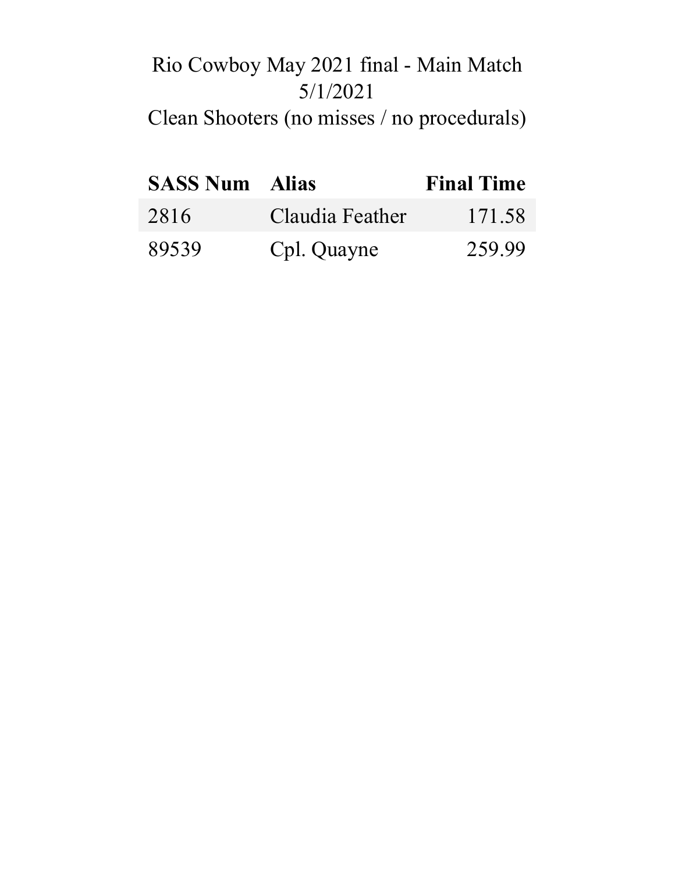# Rio Cowboy May 2021 final - Main Match 5/1/2021

# Clean Shooters (no misses / no procedurals)

| <b>SASS Num</b> Alias |                 | <b>Final Time</b> |
|-----------------------|-----------------|-------------------|
| 2816                  | Claudia Feather | 171.58            |
| 89539                 | Cpl. Quayne     | 259.99            |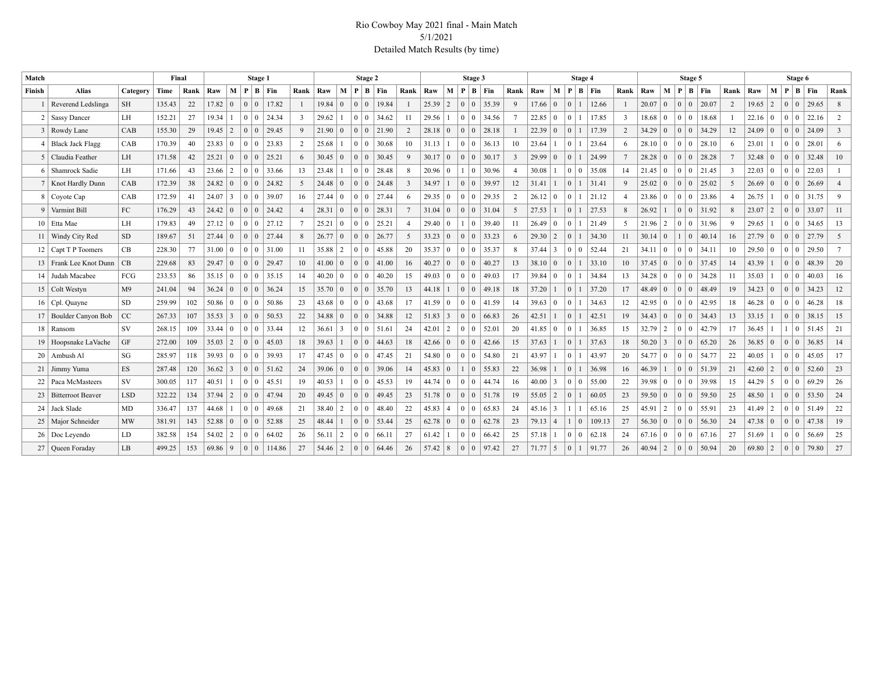#### Rio Cowboy May 2021 final - Main Match 5/1/2021 Detailed Match Results (by time)

| Match  |                          |                | Final  |      |                |                 |                 | Stage 1 |                     |                 |             |                 |                                           | Stage 2                                   |                     |                 |                |                 | Stage 3                    |       |                |                |                |                            | Stage 4 |                 |                |                 |                | Stage 5                                |                       |                         |                |                 |                | Stage 6        |       |                |
|--------|--------------------------|----------------|--------|------|----------------|-----------------|-----------------|---------|---------------------|-----------------|-------------|-----------------|-------------------------------------------|-------------------------------------------|---------------------|-----------------|----------------|-----------------|----------------------------|-------|----------------|----------------|----------------|----------------------------|---------|-----------------|----------------|-----------------|----------------|----------------------------------------|-----------------------|-------------------------|----------------|-----------------|----------------|----------------|-------|----------------|
| Finish | <b>Alias</b>             | Category       | Time   | Rank | Raw            | M               |                 |         | $P \mid B \mid Fin$ | Rank            | Raw         | M <sub>1</sub>  |                                           |                                           | $P \mid B \mid Fin$ | Rank            | Raw            | M               | P B                        | Fin   | Rank           | Raw            | M              | P                          | $B$ Fin | Rank            | Raw            |                 | M   P          |                                        | $B$ Fin               | Rank                    | Raw            | M               | P              | B   Fin        |       | Rank           |
|        | Reverend Ledslinga       | SH             | 135.43 | 22   | 17.82          | $\vert 0 \vert$ | 0 <sup>1</sup>  |         | 17.82               | -1              | 19.84       | $\mathbf{0}$    | $\begin{array}{c} 0 \\ 0 \end{array}$     |                                           | 19.84               | $\overline{1}$  | 25.39          | 2               | 0 <sup>0</sup>             | 35.39 | Q              | $17.66 \mid 0$ |                | $\Omega$                   | 12.66   |                 | 20.07          | $\overline{0}$  | $\overline{0}$ |                                        | 0 20.07               | 2                       | $19.65$   2    |                 | $\mathbf{0}$   | $\mathbf{0}$   | 29.65 | 8              |
|        | 2   Sassy Dancer         | LH             | 152.21 | 27   | $19.34$   1    |                 | 0 <sup>0</sup>  |         | 24.34               | $\overline{3}$  | 29.62       |                 |                                           | 0 <sup>10</sup>                           | 34.62               | 11              | 29.56          |                 | $\overline{0}$<br>$\Omega$ | 34.56 |                | 22.85          | $\overline{0}$ |                            | 17.85   | $\overline{3}$  | $18.68 \mid 0$ |                 | $\overline{0}$ | $\overline{0}$                         | 18.68                 |                         | $22.16 \mid 0$ |                 | $\overline{0}$ | $\overline{0}$ | 22.16 | 2              |
|        | 3 Rowdy Lane             | CAB            | 155.30 | 29   | 19.45          | $\vert 2 \vert$ | 0 <sup>1</sup>  |         | 29.45               | 9               | 21.90       | $\overline{0}$  | 0 <sup>10</sup>                           |                                           | 21.90               | 2               | 28.18          | $\theta$        | 0 <sup>1</sup>             | 28.18 |                | 22.39          | $\Omega$       | $\Omega$                   | 17.39   | 2               | 34.29          | $\vert 0 \vert$ | 0 <sup>1</sup> | $0$ .                                  | 34.29                 | 12                      | 24.09          | $\overline{0}$  | $\overline{0}$ | $\mathbf{0}$   | 24.09 | $\overline{3}$ |
|        | <b>Black Jack Flagg</b>  | CAB            | 170.39 | 40   | 23.83          | $\vert 0 \vert$ | 0 <sup>1</sup>  |         | 23.83               | 2               | 25.68       |                 | $\overline{0}$                            | $\overline{0}$                            | 30.68               | 10              | 31.13          |                 | $\Omega$                   | 36.13 | 10             | 23.64          |                | $\Omega$                   | 23.64   | -6              | $28.10 \mid 0$ |                 | $\overline{0}$ | $^{\circ}$ 0 $^{\circ}$                | 28.10                 | 6                       | 23.01          |                 | 0 <sup>1</sup> | $\overline{0}$ | 28.01 | 6              |
|        | Claudia Feather          | LH             | 171.58 | 42   | 25.21          | $\overline{0}$  | 0 <sup>1</sup>  |         | 25.21               | 6               | 30.45       | $\overline{0}$  | $\vert 0 \vert$                           | $\Omega$                                  | 30.45               | 9               | 30.17          | $\overline{0}$  | $\Omega$                   | 30.17 | 3              | 29.99          |                | $\Omega$                   | 24.99   | $7\phantom{.0}$ | $28.28$ 0      |                 | $\overline{0}$ | $\overline{0}$                         | 28.28                 | $7\overline{ }$         | $32.48 \ 0$    |                 | $\overline{0}$ | $\mathbf{0}$   | 32.48 | 10             |
| 6      | Shamrock Sadie           | LH             | 171.66 | 43   | 23.66          | 2               |                 | $01$ 0  | 33.66               | 13              | 23.48       |                 | $\theta$                                  | $\Omega$                                  | 28.48               | 8               | 20.96          | $\Omega$        | 0                          | 30.96 |                | 30.08          |                | $\overline{0}$<br>$\theta$ | 35.08   | 14              | $21.45 \mid 0$ |                 |                |                                        | $0 \mid 0 \mid 21.45$ | $\overline{\mathbf{3}}$ | 22.03          | $\Omega$        | $0 \mid 0$     |                | 22.03 |                |
|        | 7   Knot Hardly Dunn     | CAB            | 172.39 | 38   | 24.82          | $\vert 0 \vert$ | 0 <sup>1</sup>  |         | 24.82               | 5               | 24.48       | $\overline{0}$  | $\overline{0}$                            | $\Omega$                                  | 24.48               | $\overline{3}$  | 34.97          |                 | $\Omega$<br>$\Omega$       | 39.97 | 12             | 31.41          |                | $\Omega$                   | 31.41   | 9               | 25.02          | $\overline{0}$  | $\overline{0}$ | $\overline{0}$                         | 25.02                 | 5                       | $26.69 \mid 0$ |                 | $\overline{0}$ | $\overline{0}$ | 26.69 |                |
|        | 8 Coyote Cap             | CAB            | 172.59 | 41   | 24.07          | 3               | 0 <sup>1</sup>  |         | 39.07               | 16              | 27.44       | $\overline{0}$  |                                           | $\begin{array}{c c} 0 & 0 \\ \end{array}$ | 27.44               | 6               | 29.35          | $\overline{0}$  | 0 <sup>0</sup>             | 29.35 | $\overline{2}$ | 26.12          | $\Omega$       | $\theta$                   | 21.12   | $\overline{4}$  | $23.86 \mid 0$ |                 |                |                                        | $0 \mid 0 \mid 23.86$ | $\overline{4}$          | 26.75          |                 | 0 <sup>1</sup> |                | 31.75 | $\mathbf{Q}$   |
|        | 9 Varmint Bill           | FC             | 176.29 | 43   | $24.42 \mid 0$ |                 | 0 <sup>0</sup>  |         | 24.42               | $\overline{4}$  | 28.31       | $\overline{0}$  | $\vert 0 \vert$                           | $\overline{0}$                            | 28.31               | $7\overline{ }$ | 31.04          | $\vert 0 \vert$ | $(0 +$<br>$\Omega$         | 31.04 | -5             | 27.53          |                | $\overline{0}$             | 27.53   | 8               | 26.92          |                 | 0 <sup>1</sup> |                                        | $0 \mid 31.92$        | 8                       | 23.07          | $\vert 2 \vert$ | $\overline{0}$ | $\overline{0}$ | 33.07 | 11             |
|        | 10 Etta Mae              | LH             | 179.83 | 49   | 27.12          | $\vert 0 \vert$ | 0 <sup>1</sup>  |         | 27.12               | $7\phantom{.0}$ | 25.21       | $\overline{0}$  | $\begin{array}{c c} 0 & 0 \\ \end{array}$ |                                           | 25.21               | $\overline{4}$  | 29.40          | $\overline{0}$  | $\mathbf{1}$               | 39.40 | -11            | 26.49          | $\Omega$       | $\Omega$                   | 21.49   | 5               | $21.96$   2    |                 |                |                                        | $0 \mid 0 \mid 31.96$ | 9                       | 29.65          |                 | 0 <sup>1</sup> |                | 34.65 | 13             |
|        | 11   Windy City Red      | <b>SD</b>      | 189.67 | 51   | 27.44          | $\overline{0}$  | 0 <sup>0</sup>  |         | 27.44               | 8               | 26.77       | $\overline{0}$  | $\begin{array}{c} 0 \\ 0 \end{array}$     |                                           | 26.77               | 5               | $33.23 \mid 0$ |                 | $\overline{0}$<br>$\Omega$ | 33.23 | 6              | $29.30 \mid 2$ |                | $\theta$                   | 34.30   | 11              | $30.14 \mid 0$ |                 |                | $\overline{0}$                         | 40.14                 | 16                      | $27.79$ 0      |                 | $\overline{0}$ | $\overline{0}$ | 27.79 | $\overline{5}$ |
|        | 12   Capt T P Toomers    | CB             | 228.30 | 77   | 31.00          | $\overline{0}$  |                 |         | $0 \mid 0$   31.00  | 11              | 35.88       | 2               | $\overline{0}$                            | $\overline{0}$                            | 45.88               | 20              | 35.37          | $\overline{0}$  | $\Omega$                   | 35.37 | $\mathbf{8}$   | $37.44$ 3      |                | $\theta$<br>$\mathbf{0}$   | 52.44   | 21              | 34.11          | $\vert 0 \vert$ | $\theta$       | $\bf{0}$                               | 34.11                 | 10                      | $29.50 \mid 0$ |                 | $\overline{0}$ | $\mathbf{0}$   | 29.50 |                |
|        | 13 Frank Lee Knot Dunn   | CB             | 229.68 | 83   | 29.47          | $\vert 0 \vert$ | $0 \mid 0$      |         | 29.47               | 10              | 41.00       | $\overline{0}$  |                                           | 0 <sup>1</sup>                            | 41.00               | 16              | 40.27          | $\vert 0 \vert$ | $\overline{0}$<br>0        | 40.27 | 13             | 38.10          | $\overline{0}$ | $\mathbf{0}$               | 33.10   | 10              | $37.45 \mid 0$ |                 |                | $0 \mid 0$                             | 37.45                 | 14                      | 43.39          |                 | 0 <sup>1</sup> |                | 48.39 | 20             |
| 14     | Judah Macabee            | FCG            | 233.53 | 86   | 35.15          | $\overline{0}$  | 0 <sup>1</sup>  |         | 35.15               | 14              | 40.20       | $\vert 0 \vert$ | $\overline{0}$                            | $\Omega$                                  | 40.20               | 15              | 49.03          | $\overline{0}$  | $\mathbf{0}$               | 49.03 | 17             | 39.84          | $\theta$       | $\Omega$                   | 34.84   | 13              | $34.28 \mid 0$ |                 | $\overline{0}$ | $\mathbf{0}$                           | 34.28                 | 11                      | 35.03          |                 | $\overline{0}$ | $\bf{0}$       | 40.03 | 16             |
|        | 15 Colt Westyn           | M <sub>9</sub> | 241.04 | 94   | 36.24          | $\vert 0 \vert$ | $0 \mid 0$      |         | 36.24               | 15              | 35.70       | $\Omega$        |                                           | $\begin{array}{c} 0 \\ 0 \end{array}$     | 35.70               | 13              | 44.18          |                 | 0 <sup>1</sup>             | 49.18 | 18             | 37.20          |                | $\overline{0}$             | 37.20   | 17              | 48.49          | $\vert 0 \vert$ |                | 0 <sup>1</sup>                         | 48.49                 | 19                      | 34.23          | $\Omega$        | 0 <sup>1</sup> |                | 34.23 | 12             |
|        | 16   Cpl. Quayne         | SD.            | 259.99 | 102  | $50.86 \mid 0$ |                 | 0 <sup>1</sup>  |         | 50.86               | 23              | 43.68       | $\overline{0}$  | 0 <sup>10</sup>                           |                                           | 43.68               | 17              | 41.59          | $\Omega$        | $\Omega$                   | 41.59 | 14             | 39.63          | 0 <sup>1</sup> | $\Omega$                   | 34.63   | 12              | $42.95 \mid 0$ |                 | $\overline{0}$ | $\Omega$                               | 42.95                 | 18                      | $46.28 \pm 0$  |                 | $\overline{0}$ | $\bf{0}$       | 46.28 | 18             |
|        | 17   Boulder Canyon Bob  | CC             | 267.33 | 107  | 35.53          | $\vert 3 \vert$ | 0 <sup>1</sup>  |         | 50.53               | 22              | 34.88       | $\overline{0}$  | 0 <sup>10</sup>                           |                                           | 34.88               | 12              | 51.83          | 3               | 0 <sup>0</sup>             | 66.83 | 26             | 42.51          |                | $\Omega$                   | 42.51   | 19              | $34.43 \mid 0$ |                 |                | $0 \mid 0$                             | 34.43                 | 13                      | 33.15          |                 | 0 <sup>1</sup> | $\overline{0}$ | 38.15 | 15             |
|        | 18 Ransom                | SV             | 268.15 | 109  | 33.44          | $\overline{0}$  | 0 <sup>10</sup> |         | 33.44               | 12              | $36.61$   3 |                 |                                           | 0 <sup>10</sup>                           | 51.61               | 24              | 42.01          | 2               | $\Omega$                   | 52.01 | 20             | $41.85 \pm 0$  |                | $\Omega$                   | 36.85   | 15              | 32.79          | $\vert 2 \vert$ |                | $0 \mid 0$                             | 42.79                 | 17                      | $36.45 \mid 1$ |                 | $\overline{1}$ | $\mathbf{0}$   | 51.45 | 21             |
|        | 19 Hoopsnake LaVache     | GF             | 272.00 | 109  | 35.03          | $\vert 2 \vert$ | $0 \mid 0$      |         | 45.03               | 18              | 39.63       |                 | $\begin{array}{c c} 0 & 0 \\ \end{array}$ |                                           | 44.63               | 18              | 42.66          | $\Omega$        | $\Omega$                   | 42.66 | 15             | 37.63          |                | $\theta$                   | 37.63   | 18              | 50.20          | $\vert$ 3       | $\overline{0}$ | $\overline{0}$                         | 65.20                 | 26                      | $36.85 \mid 0$ |                 | $\Omega$       | $\overline{0}$ | 36.85 | 14             |
|        | $20$   Ambush Al         | SG             | 285.97 | 118  | 39.93          | $\overline{0}$  | 0 <sup>1</sup>  |         | 39.93               | 17              | 47.45       | $\overline{0}$  | $\overline{0}$                            | 0                                         | 47.45               | 21              | $54.80 \mid 0$ |                 | $\Omega$<br>0              | 54.80 | 21             | 43.97          |                | $\Omega$                   | 43.97   | 20              | $5477$ 0       |                 |                | 0 <sup>1</sup>                         | 54.77                 | 22                      | 40.05          |                 | $0 \mid 0$     |                | 45.05 | 17             |
| 21     | Jimmy Yuma               | <b>ES</b>      | 287.48 | 120  | 36.62          | $\vert 3 \vert$ | 0 <sup>1</sup>  |         | 51.62               | 24              | 39.06       | $\mathbf{0}$    | 0.1                                       | $\Omega$                                  | 39.06               | 14              | 45.83          | $\overline{0}$  | $\mathbf{1}$<br>$\Omega$   | 55.83 | 22             | 36.98          |                | $\Omega$                   | 36.98   | 16              | 46.39          |                 | $\overline{0}$ | $\overline{0}$                         | 51.39                 | 21                      | $42.60 \mid 2$ |                 | $\overline{0}$ | $\mathbf{0}$   | 52.60 | 23             |
| 22     | Paca McMasteers          | <b>SV</b>      | 300.05 | 117  | 40.51          |                 | $01$ 0          |         | 45.51               | 19              | 40.53       |                 |                                           | 0 <sup>10</sup>                           | 45.53               | 19              | 44.74          | $\overline{0}$  | $\Omega$<br>$\Omega$       | 44.74 | -16            | 40.00          | $\mathcal{R}$  | $\Omega$<br>$\overline{0}$ | 55.00   | 22              | 39.98 0        |                 |                | $01$ 0                                 | 39.98                 | 15                      | $44.29$ 5      |                 | 0 <sup>1</sup> |                | 69.29 | 26             |
| 23     | <b>Bitterroot Beaver</b> | <b>LSD</b>     | 322.22 | 134  | 37.94          | $\vert 2 \vert$ | 0 <sup>1</sup>  |         | 4794                | 20              | 49.45       | $\overline{0}$  |                                           | 0 <sup>10</sup>                           | 49.45               | 23              | 51.78          | $\Omega$        | $\Omega$<br>$\Omega$       | 51.78 | 19             | $55.05$   2    |                | $\Omega$                   | 60.05   | 23              | $59.50 \mid 0$ |                 | $\overline{0}$ | $\Omega$                               | 59.50                 | 25                      | $48.50 \mid 1$ |                 | 0 <sup>1</sup> |                | 53.50 | 24             |
| 24     | Jack Slade               | MD             | 336.47 | 137  | 44.68          |                 | $0 \mid 0$      |         | 49.68               | 21              | 38.40       | $\vert 2 \vert$ | 0 <sup>10</sup>                           |                                           | 48.40               | 22              | 45.83          | $\overline{4}$  | $\Omega$<br>$\Omega$       | 65.83 | 24             | $45.16$ 3      |                |                            | 65.16   | 25              | 45.91          | $\vert 2 \vert$ |                | $0 \mid 0$                             | 55.91                 | 23                      | 41.49          | $\vert 2 \vert$ | 0 <sup>1</sup> |                | 51.49 | 22             |
|        | 25   Major Schneider     | <b>MW</b>      | 381.91 | 143  | 52.88          | $\overline{0}$  | $0 \mid 0$      |         | 52.88               | 25              | 48.44       |                 | $\overline{0}$                            | $\overline{0}$                            | 53.44               | 25              | 62.78          | $\overline{0}$  | $\mathbf{0}$<br>$\Omega$   | 62.78 | 23             | $79.13 \mid 4$ |                | $\Omega$<br>$\mathbf{1}$   | 109.13  | 27              | 56.30 0        |                 | $\overline{0}$ | $\overline{0}$                         | 56.30                 | 24                      | $47.38 \mid 0$ |                 | $\overline{0}$ | $\mathbf{0}$   | 47.38 | 19             |
|        | 26   Doc Leyendo         | LD.            | 382.58 | 154  | 54.02          | $\vert 2 \vert$ | 0 <sup>10</sup> |         | 64.02               | 26              | 56.11       | $\overline{2}$  | $\overline{0}$                            | $\overline{0}$                            | 66.11               | 27              | 61.42          |                 | $\Omega$                   | 66.42 | 25             | 57.18          |                | $\overline{0}$<br>$\Omega$ | 62.18   | 24              | $67.16 \mid 0$ |                 |                | 0 <sup>1</sup>                         | 67.16                 | 27                      | 51.69          |                 | 0 <sup>1</sup> | $\bf{0}$       | 56.69 | 25             |
|        | 27   Queen Foraday       | LB             | 499.25 | 153  | $69.86$ 9      |                 | 0 <sup>10</sup> |         | 114.86              | 27              | $54.46$   2 |                 |                                           | $\begin{array}{c} 0 \\ 0 \end{array}$     | 64.46               | 26              | 57.42          | 8               | $\Omega$<br>$\overline{0}$ | 97.42 | 27             | $71.77$ 5      |                | $\Omega$                   | 91.77   | 26              | 40.94          | $\vert 2 \vert$ |                | $\begin{array}{c c} 0 & 0 \end{array}$ | 50.94                 | 20                      | $69.80$   2    |                 | $0 \mid 0$     |                | 79.80 | 27             |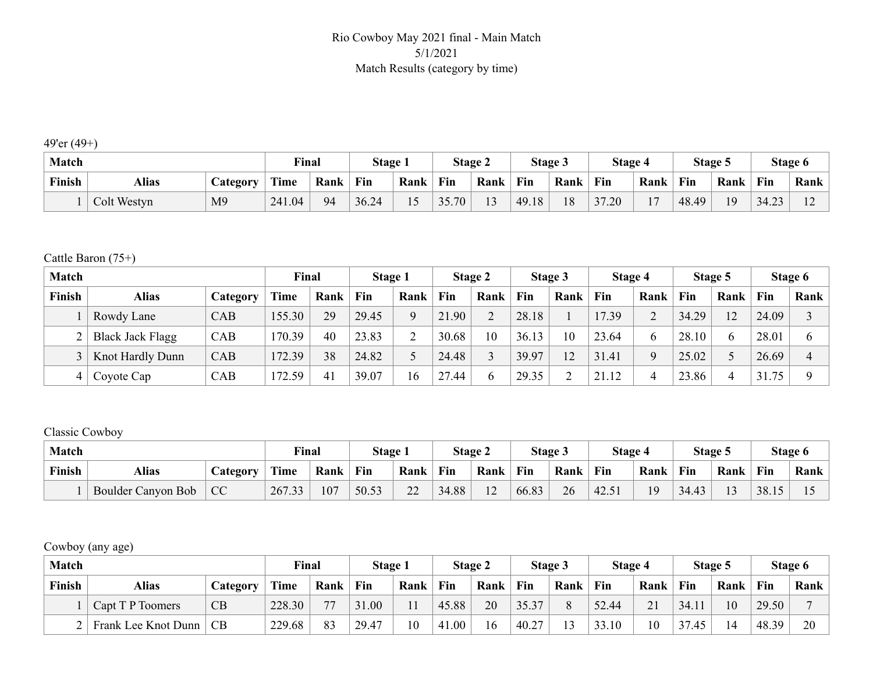#### Rio Cowboy May 2021 final - Main Match 5/1/2021 Match Results (category by time)

49'er (49+)

| <b>Match</b> |              |                | Final  |      | <b>Stage 1</b> |      |       | Stage 2 |                 | Stage 3 | <b>Stage 4</b> |                | Stage 5 |      |       | Stage 6 |
|--------------|--------------|----------------|--------|------|----------------|------|-------|---------|-----------------|---------|----------------|----------------|---------|------|-------|---------|
| Finish       | <b>Alias</b> | <b>Ategory</b> | Time   | Rank | Fin            | Rank | Fin   | Rank    | $\mathbf{F}$ in | Rank    | Fin            | Rank           | Fin     | Rank | Fin   | Rank    |
|              | Colt Westyn  | M <sub>9</sub> | 241.04 | 94   | 36.24          | 15   | 35.70 | $\sim$  | 49.18           | 18      | 37.20          | $\blacksquare$ | 48.49   | 19   | 34.23 | ∸       |

Cattle Baron (75+)

| <b>Match</b> |                         |          | Final  |      | Stage 1 |      |       | Stage 2 |       | Stage 3 | Stage 4 |      |       | Stage 5 |       | Stage 6        |
|--------------|-------------------------|----------|--------|------|---------|------|-------|---------|-------|---------|---------|------|-------|---------|-------|----------------|
| Finish       | Alias                   | Category | Time   | Rank | Fin     | Rank | Fin   | Rank    | Fin   | Rank    | Fin     | Rank | Fin   | Rank    | Fin   | Rank           |
|              | Rowdy Lane              | CAB      | 155.30 | 29   | 29.45   |      | 21.90 |         | 28.18 |         | 17.39   | ◠    | 34.29 | 12      | 24.09 |                |
|              | <b>Black Jack Flagg</b> | CAB      | 170.39 | 40   | 23.83   |      | 30.68 | 10      | 36.13 | 10      | 23.64   | h.   | 28.10 | 6       | 28.01 | <sub>0</sub>   |
|              | Knot Hardly Dunn        | CAB      | 172.39 | 38   | 24.82   |      | 24.48 |         | 39.97 | 12      | 31.41   | O.   | 25.02 |         | 26.69 | $\overline{4}$ |
| 4            | Coyote Cap              | CAB      | 172.59 | 41   | 39.07   | 16   | 27.44 | 6       | 29.35 |         | 21.12   |      | 23.86 | Δ       | 31.75 | $\Omega$       |

#### Classic Cowboy

| <b>Match</b> |                    |                 | Final        |      | Stage 1 |          |       | Stage 2 |            | <b>Stage 3</b> | <b>Stage 4</b> |      |       | Stage 5 |       | Stage 6 |
|--------------|--------------------|-----------------|--------------|------|---------|----------|-------|---------|------------|----------------|----------------|------|-------|---------|-------|---------|
| Finish       | Alias              | <b>Category</b> | Time         | Rank | Fin     | Rank     | Fin   | Rank    | <b>Fin</b> | Rank           | Fin            | Rank | Fin   | Rank    | Fin   | Rank    |
|              | Boulder Canyon Bob | CC              | 267.33<br>33 | 107  | 50.53   | つつ<br>∠∠ | 34.88 | $\sim$  | 66.83      | 26             | 12.51<br>42.5  | 19   | 34.43 | $\sim$  | 38.15 |         |

Cowboy (any age)

| <b>Match</b> |                     |                 | Final  |      | Stage 1 |      |       | Stage 2 |       | Stage 3    | Stage 4 |      |       | Stage 5 |       | Stage 6 |
|--------------|---------------------|-----------------|--------|------|---------|------|-------|---------|-------|------------|---------|------|-------|---------|-------|---------|
| Finish       | <b>Alias</b>        | <b>Category</b> | Time   | Rank | Fin     | Rank | Fin   | Rank    | Fin   | Rank       | Fin     | Rank | Fin   | Rank    | Fin   | Rank    |
|              | Capt T P Toomers    | CB              | 228.30 | 77   | 31.00   | 11   | 45.88 | 20      | 35.37 |            | 52.44   | 21   | 34.11 | 10      | 29.50 |         |
|              | Frank Lee Knot Dunn | CB              | 229.68 | 83   | 29.47   | 10   | 41.00 | 16      | 40.27 | $\sqrt{ }$ | 33.10   | 10   | 37.45 | 14      | 48.39 | 20      |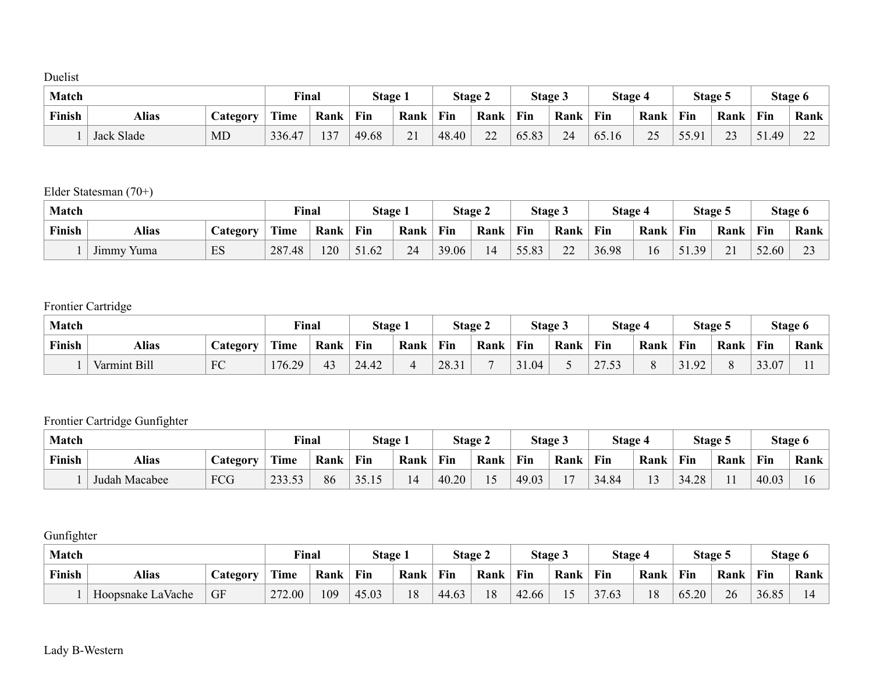#### Duelist

| <b>Match</b> |            |                  | Final       |      | <b>Stage 1</b> |                 | Stage 2 |                 |       | Stage 3 | Stage 4 |          | Stage 5         |          |       | Stage 6                            |
|--------------|------------|------------------|-------------|------|----------------|-----------------|---------|-----------------|-------|---------|---------|----------|-----------------|----------|-------|------------------------------------|
| Finish       | Alias      | <i>L</i> ategory | <b>Time</b> | Rank | Fin            | Rank            | Fin     | Rank            | Fin   | Rank    | Fin     | Rank     | Fin             | Rank     | Fin   | Rank                               |
|              | Jack Slade | MD               | 336.47      | 137  | 49.68          | $\sim$ 1<br>∠ ⊥ | 48.40   | $\bigcap$<br>∠∠ | 65.83 | 24      | 65.16   | $\gamma$ | 55 Q1<br>JJ.J 1 | つつ<br>ر∠ | 51.49 | $\sim$<br>$\overline{\phantom{m}}$ |

#### Elder Statesman (70+)

| <b>Match</b> |                               |                  | Final  |      | <b>Stage 1</b> |      |       | <b>Stage 2</b> |       | Stage 3 | Stage 4 |      | Stage: |                          |       | Stage 6      |
|--------------|-------------------------------|------------------|--------|------|----------------|------|-------|----------------|-------|---------|---------|------|--------|--------------------------|-------|--------------|
| Finish       | Alias                         | <i>L</i> ategory | Time   | Rank | Fin            | Rank | Fin   | Rank           | Fin   | Rank    | Fin     | Rank | Fin    | Rank                     | Fin   | Rank         |
|              | $\mathbf{r}$<br>Yuma<br>Jimmy | ES               | 287.48 | 20   | 51.62          | 24   | 39.06 |                | 55.83 | $\sim$  | 36.98   | 16   | .39    | $\mathbf{\Omega}$<br>∠ ⊥ | 52.60 | $\sim$<br>ر_ |

## Frontier Cartridge

| <b>Match</b> |              |                 | Final        |      | Stage |      |       | <b>Stage 2</b> |       | <b>Stage 3</b> | Stage 4                       |      |       | Stage 5 |       | Stage 6 |
|--------------|--------------|-----------------|--------------|------|-------|------|-------|----------------|-------|----------------|-------------------------------|------|-------|---------|-------|---------|
| Finish       | Alias        | <b>Category</b> | Time         | Rank | Fin   | Rank | Fin   | Rank           | Fin   | Rank           | Fin                           | Rank | Fin   | Rank    | Fin   | Rank    |
|              | Varmint Bill | FC              | 176.2.<br>29 | 43   | 24.42 |      | 28.31 |                | 31.04 |                | 2752<br>$\overline{a}$<br>ت ب |      | 31.92 |         | 33.07 |         |

### Frontier Cartridge Gunfighter

| <b>Match</b> |               |                 | Final  |      | Stage 1 |      |       | Stage 2 |       | Stage 3        | Stage 4 |                         |       | Stage 5 |       | Stage 6 |
|--------------|---------------|-----------------|--------|------|---------|------|-------|---------|-------|----------------|---------|-------------------------|-------|---------|-------|---------|
| Finish       | Alias         | <b>category</b> | Time   | Rank | Fin     | Rank | Fin   | Rank    | Fin   | Rank           | Fin     | Rank                    | Fin   | Rank    | Fin   | Rank    |
|              | Judah Macabee | FCG             | 233.53 | 86   | 35.15   | 14   | 40.20 |         | 49.03 | $\overline{ }$ | 34.84   | $\sim$<br>$\mathcal{L}$ | 34.28 |         | 40.03 |         |

**Gunfighter** 

| <b>Match</b> |                   |                 | Final       |      | Stage 1 |      | <b>Stage 2</b> |      |       | Stage 3                                           | Stage 4 |      |       | Stage 5 |       | Stage 6 |
|--------------|-------------------|-----------------|-------------|------|---------|------|----------------|------|-------|---------------------------------------------------|---------|------|-------|---------|-------|---------|
| Finish       | <b>Alias</b>      | <b>Category</b> | <b>Time</b> | Rank | Fin     | Rank | Fin            | Rank | Fin   | Rank                                              | Fin     | Rank | Fin   | Rank    | Fin   | Rank    |
|              | Hoopsnake LaVache | GF              | 272.00      | 109  | 45.03   | 18   | 44.63          | 18   | 42.66 | $\overline{\phantom{0}}$<br>$\mathcal{L}_{\perp}$ | 37.63   | 18   | 65.20 | 26      | 36.85 | ıд      |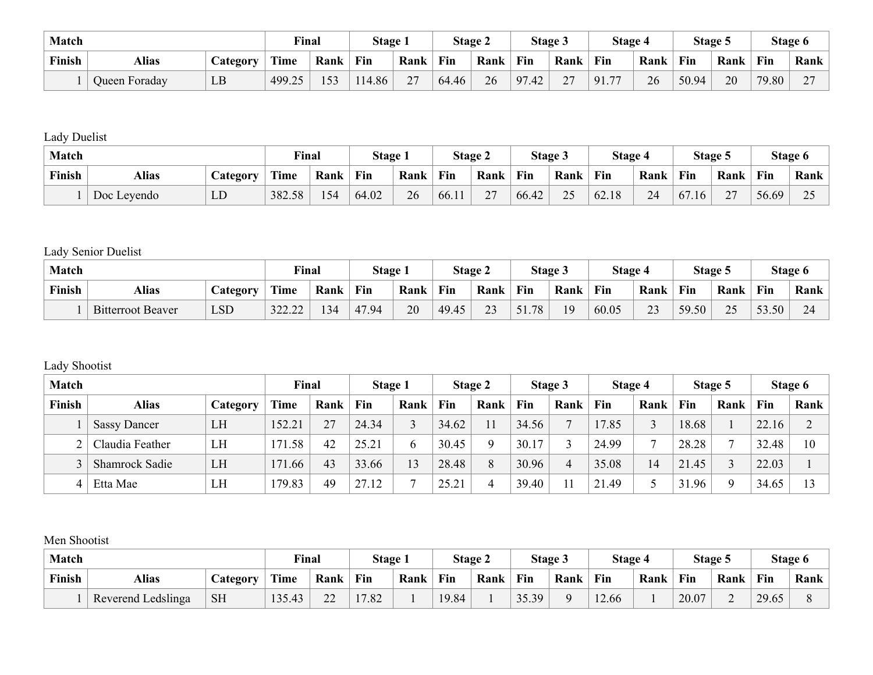| Match  |               |                 |        | <b>Final</b> | Stage 1 |      |       | Stage 2 |            | Stage 3       | Stage 4              |      |       | Stage 5 |       | Stage 6                            |
|--------|---------------|-----------------|--------|--------------|---------|------|-------|---------|------------|---------------|----------------------|------|-------|---------|-------|------------------------------------|
| Finish | Alias         | <b>Category</b> | Time   | Rank         | Fin     | Rank | Fin   | Rank    | Fin        | Rank          | Fin                  | Rank | Fin   | Rank    | Fin   | Rank                               |
|        | Queen Foraday | LB              | 499.25 | 153          | 114.86  | 77   | 64.46 | 26      | 97<br>'.42 | $\mathcal{L}$ | $\mathbf{z}$<br>91.7 | 26   | 50.94 | 20      | 79.80 | $\sim$<br>$\overline{\phantom{0}}$ |

Lady Duelist

|        | <b>Match</b> |                 |        | Final | <b>Stage 1</b> |      |       | Stage 2                                  |       | Stage 3 | Stage 4 |      | Stage 5 |                      |       | Stage 6             |
|--------|--------------|-----------------|--------|-------|----------------|------|-------|------------------------------------------|-------|---------|---------|------|---------|----------------------|-------|---------------------|
| Finish | <b>Alias</b> | <b>Category</b> | Time   | Rank  | Fin            | Rank | Fin   | Rank                                     | Fin   | Rank    | Fin     | Rank | Fin     | Rank                 | Fin   | Rank                |
|        | Doc Leyendo  | LD              | 382.58 | 154   | 64.02          | 26   | 66.11 | $\sqrt{2}$<br>$\overline{\phantom{a}}$ . | 66.42 | 25      | 62.18   | 24   | 67.16   | $\mathcal{L}$<br>، ، | 56.69 | $\Delta$ $\epsilon$ |

## Lady Senior Duelist

| <b>Match</b> |                          |                 | Final       |      | <b>Stage 1</b> |      |       | <b>Stage 2</b>      |     | Stage 3 | Stage 4 |      | Stage: |           |       | Stage 6                          |
|--------------|--------------------------|-----------------|-------------|------|----------------|------|-------|---------------------|-----|---------|---------|------|--------|-----------|-------|----------------------------------|
| Finish       | Alias                    | <b>Lategory</b> | <b>Time</b> | Rank | Fin            | Rank | Fin   | Rank                | Fin | Rank    | Fin     | Rank | Fin    | Rank      | Fin   | Rank                             |
|              | <b>Bitterroot Beaver</b> | $\mathsf{LSD}$  | 322.22      | 34   | 47.94          | 20   | 49.45 | $\mathcal{L}$<br>رے | 78  | 19      | 60.05   | 23   | 59.50  | 25<br>ر گ | 53.50 | $\sim$ $\lambda$<br>$24^{\circ}$ |

### Lady Shootist

| <b>Match</b> |                       |          | Final      |      | Stage 1 |      |       | Stage 2 |       | Stage 3 | Stage 4 |                |       | Stage 5  |       | Stage 6 |
|--------------|-----------------------|----------|------------|------|---------|------|-------|---------|-------|---------|---------|----------------|-------|----------|-------|---------|
| Finish       | <b>Alias</b>          | Category | Time       | Rank | Fin     | Rank | Fin   | Rank    | Fin   | Rank    | Fin     | Rank           | Fin   | Rank     | Fin   | Rank    |
|              | <b>Sassy Dancer</b>   | LH       | 152.21     | 27   | 24.34   |      | 34.62 | 11      | 34.56 |         | 17.85   |                | 18.68 |          | 22.16 | $\sim$  |
|              | Claudia Feather       | LH       | .58<br>171 | 42   | 25.21   |      | 30.45 | Q       | 30.17 |         | 24.99   |                | 28.28 |          | 32.48 | 10      |
|              | <b>Shamrock Sadie</b> | LH       | .66<br>171 | 43   | 33.66   | 13   | 28.48 | 8       | 30.96 |         | 35.08   | $\overline{4}$ | 21.45 |          | 22.03 |         |
| 4            | Etta Mae              | LH       | 179.83     | 49   | 27.12   |      | 25.21 | 4       | 39.40 |         | 21.49   |                | 31.96 | $\Omega$ | 34.65 | 13      |

#### Men Shootist

| <b>Match</b> |                    |           | Final  |                    | <b>Stage 1</b> |      |       | <b>Stage 2</b> |       | Stage 3 | <b>Stage 4</b> |      | Stage 5 |                |       | Stage 6 |
|--------------|--------------------|-----------|--------|--------------------|----------------|------|-------|----------------|-------|---------|----------------|------|---------|----------------|-------|---------|
| Finish       | Alias              | Jategory  | Time   | Rank               | Fin            | Rank | Fin   | Rank           | Fin   | Rank    | Fin            | Rank | Fin     | Rank           | Fin   | Rank    |
|              | Reverend Ledslinga | <b>SH</b> | 135.43 | $\mathbf{A}$<br>∠∠ | 17.82          |      | 19.84 |                | 35.39 |         | 12.66          |      | 20.07   | $\overline{ }$ | 29.65 |         |